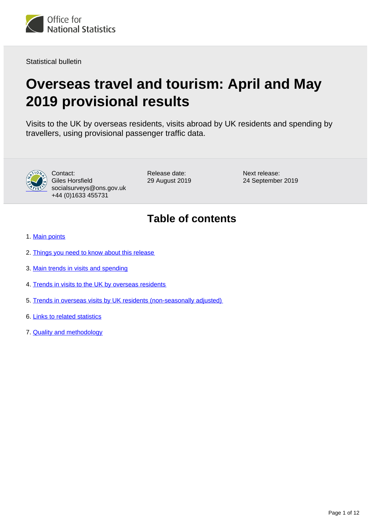<span id="page-0-0"></span>

Statistical bulletin

# **Overseas travel and tourism: April and May 2019 provisional results**

Visits to the UK by overseas residents, visits abroad by UK residents and spending by travellers, using provisional passenger traffic data.



Contact: Giles Horsfield socialsurveys@ons.gov.uk +44 (0)1633 455731

Release date: 29 August 2019 Next release: 24 September 2019

## **Table of contents**

- 1. [Main points](#page-1-0)
- 2. [Things you need to know about this release](#page-1-1)
- 3. [Main trends in visits and spending](#page-2-0)
- 4. [Trends in visits to the UK by overseas residents](#page-4-0)
- 5. [Trends in overseas visits by UK residents \(non-seasonally adjusted\)](#page-6-0)
- 6. [Links to related statistics](#page-8-0)
- 7. [Quality and methodology](#page-8-1)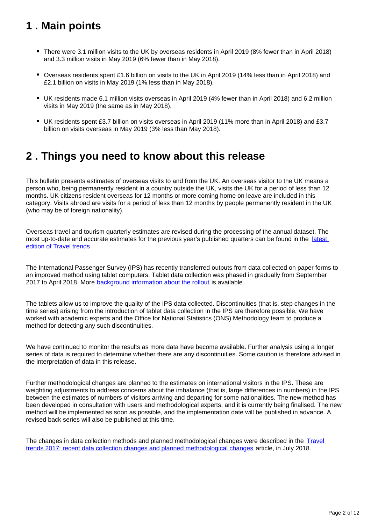## <span id="page-1-0"></span>**1 . Main points**

- There were 3.1 million visits to the UK by overseas residents in April 2019 (8% fewer than in April 2018) and 3.3 million visits in May 2019 (6% fewer than in May 2018).
- Overseas residents spent £1.6 billion on visits to the UK in April 2019 (14% less than in April 2018) and £2.1 billion on visits in May 2019 (1% less than in May 2018).
- UK residents made 6.1 million visits overseas in April 2019 (4% fewer than in April 2018) and 6.2 million visits in May 2019 (the same as in May 2018).
- UK residents spent £3.7 billion on visits overseas in April 2019 (11% more than in April 2018) and £3.7 billion on visits overseas in May 2019 (3% less than May 2018).

## <span id="page-1-1"></span>**2 . Things you need to know about this release**

This bulletin presents estimates of overseas visits to and from the UK. An overseas visitor to the UK means a person who, being permanently resident in a country outside the UK, visits the UK for a period of less than 12 months. UK citizens resident overseas for 12 months or more coming home on leave are included in this category. Visits abroad are visits for a period of less than 12 months by people permanently resident in the UK (who may be of foreign nationality).

Overseas travel and tourism quarterly estimates are revised during the processing of the annual dataset. The most up-to-date and accurate estimates for the previous year's published quarters can be found in the latest [edition of Travel trends.](https://www.ons.gov.uk/peoplepopulationandcommunity/leisureandtourism/articles/traveltrends/2018)

The International Passenger Survey (IPS) has recently transferred outputs from data collected on paper forms to an improved method using tablet computers. Tablet data collection was phased in gradually from September 2017 to April 2018. More **background information about the rollout** is available.

The tablets allow us to improve the quality of the IPS data collected. Discontinuities (that is, step changes in the time series) arising from the introduction of tablet data collection in the IPS are therefore possible. We have worked with academic experts and the Office for National Statistics (ONS) Methodology team to produce a method for detecting any such discontinuities.

We have continued to monitor the results as more data have become available. Further analysis using a longer series of data is required to determine whether there are any discontinuities. Some caution is therefore advised in the interpretation of data in this release.

Further methodological changes are planned to the estimates on international visitors in the IPS. These are weighting adjustments to address concerns about the imbalance (that is, large differences in numbers) in the IPS between the estimates of numbers of visitors arriving and departing for some nationalities. The new method has been developed in consultation with users and methodological experts, and it is currently being finalised. The new method will be implemented as soon as possible, and the implementation date will be published in advance. A revised back series will also be published at this time.

The changes in data collection methods and planned methodological changes were described in the Travel [trends 2017: recent data collection changes and planned methodological changes](https://www.ons.gov.uk/peoplepopulationandcommunity/leisureandtourism/articles/traveltrends2017recentdatacollectionchangesandplannedmethodologicalchanges/2018-07-20) article, in July 2018.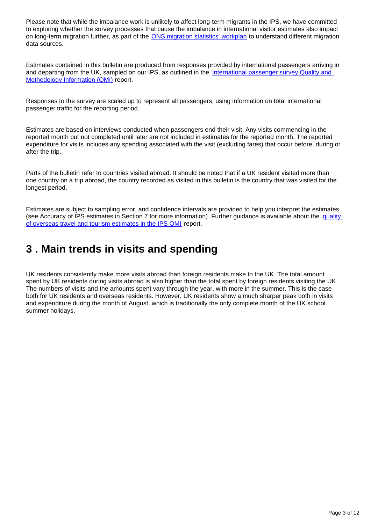Please note that while the imbalance work is unlikely to affect long-term migrants in the IPS, we have committed to exploring whether the survey processes that cause the imbalance in international visitor estimates also impact on long-term migration further, as part of the [ONS migration statistics' workplan](https://www.ons.gov.uk/peoplepopulationandcommunity/populationandmigration/internationalmigration/articles/understandingdifferentmigrationdatasourcesaworkplan/february2019#workplan) to understand different migration data sources.

Estimates contained in this bulletin are produced from responses provided by international passengers arriving in and departing from the UK, sampled on our IPS, as outlined in the [International passenger survey Quality and](https://www.ons.gov.uk/peoplepopulationandcommunity/leisureandtourism/methodologies/internationalpassengersurveyqmi)  [Methodology Information \(QMI\)](https://www.ons.gov.uk/peoplepopulationandcommunity/leisureandtourism/methodologies/internationalpassengersurveyqmi) report.

Responses to the survey are scaled up to represent all passengers, using information on total international passenger traffic for the reporting period.

Estimates are based on interviews conducted when passengers end their visit. Any visits commencing in the reported month but not completed until later are not included in estimates for the reported month. The reported expenditure for visits includes any spending associated with the visit (excluding fares) that occur before, during or after the trip.

Parts of the bulletin refer to countries visited abroad. It should be noted that if a UK resident visited more than one country on a trip abroad, the country recorded as visited in this bulletin is the country that was visited for the longest period.

Estimates are subject to sampling error, and confidence intervals are provided to help you interpret the estimates (see Accuracy of IPS estimates in Section 7 for more information). Further guidance is available about the quality [of overseas travel and tourism estimates in the IPS QMI](http://www.ons.gov.uk/peoplepopulationandcommunity/leisureandtourism/qmis/internationalpassengersurveyipsqmi) report.

## <span id="page-2-0"></span>**3 . Main trends in visits and spending**

UK residents consistently make more visits abroad than foreign residents make to the UK. The total amount spent by UK residents during visits abroad is also higher than the total spent by foreign residents visiting the UK. The numbers of visits and the amounts spent vary through the year, with more in the summer. This is the case both for UK residents and overseas residents. However, UK residents show a much sharper peak both in visits and expenditure during the month of August, which is traditionally the only complete month of the UK school summer holidays.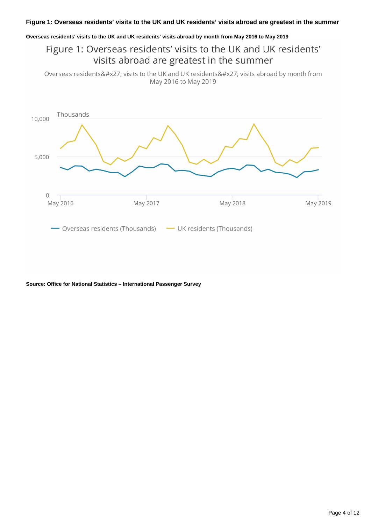### **Overseas residents' visits to the UK and UK residents' visits abroad by month from May 2016 to May 2019**

Figure 1: Overseas residents' visits to the UK and UK residents' visits abroad are greatest in the summer

Overseas residents' visits to the UK and UK residents' visits abroad by month from May 2016 to May 2019



**Source: Office for National Statistics – International Passenger Survey**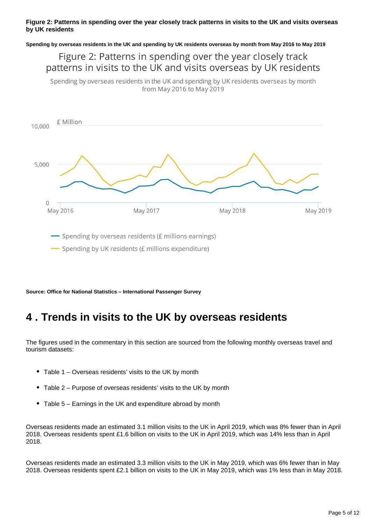### **Figure 2: Patterns in spending over the year closely track patterns in visits to the UK and visits overseas by UK residents**

**Spending by overseas residents in the UK and spending by UK residents overseas by month from May 2016 to May 2019**

## Figure 2: Patterns in spending over the year closely track patterns in visits to the UK and visits overseas by UK residents

Spending by overseas residents in the UK and spending by UK residents overseas by month from May 2016 to May 2019



**Source: Office for National Statistics – International Passenger Survey**

## <span id="page-4-0"></span>**4 . Trends in visits to the UK by overseas residents**

The figures used in the commentary in this section are sourced from the following monthly overseas travel and tourism datasets:

- Table 1 Overseas residents' visits to the UK by month
- Table 2 Purpose of overseas residents' visits to the UK by month
- Table 5 Earnings in the UK and expenditure abroad by month

Overseas residents made an estimated 3.1 million visits to the UK in April 2019, which was 8% fewer than in April 2018. Overseas residents spent £1.6 billion on visits to the UK in April 2019, which was 14% less than in April 2018.

Overseas residents made an estimated 3.3 million visits to the UK in May 2019, which was 6% fewer than in May 2018. Overseas residents spent £2.1 billion on visits to the UK in May 2019, which was 1% less than in May 2018.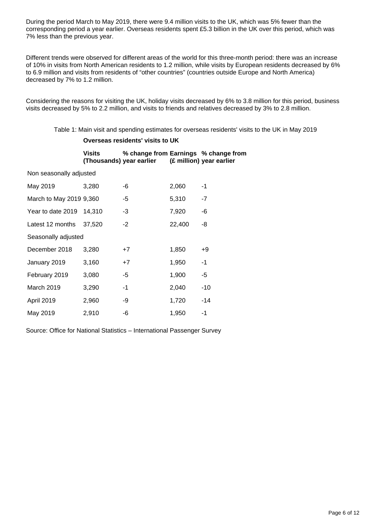During the period March to May 2019, there were 9.4 million visits to the UK, which was 5% fewer than the corresponding period a year earlier. Overseas residents spent £5.3 billion in the UK over this period, which was 7% less than the previous year.

Different trends were observed for different areas of the world for this three-month period: there was an increase of 10% in visits from North American residents to 1.2 million, while visits by European residents decreased by 6% to 6.9 million and visits from residents of "other countries" (countries outside Europe and North America) decreased by 7% to 1.2 million.

Considering the reasons for visiting the UK, holiday visits decreased by 6% to 3.8 million for this period, business visits decreased by 5% to 2.2 million, and visits to friends and relatives decreased by 3% to 2.8 million.

Table 1: Main visit and spending estimates for overseas residents' visits to the UK in May 2019

#### **Overseas residents' visits to UK**

#### **Visits (Thousands) year earlier % change from Earnings % change from (£ million) year earlier**

Non seasonally adjusted

| May 2019                | 3,280  | -6   | 2,060  | -1    |
|-------------------------|--------|------|--------|-------|
| March to May 2019 9,360 |        | -5   | 5,310  | $-7$  |
| Year to date 2019       | 14.310 | $-3$ | 7,920  | -6    |
| Latest 12 months        | 37.520 | -2   | 22,400 | -8    |
| Seasonally adjusted     |        |      |        |       |
| December 2018           | 3,280  | $+7$ | 1,850  | +9    |
| January 2019            | 3,160  | $+7$ | 1,950  | $-1$  |
| February 2019           | 3,080  | -5   | 1,900  | -5    |
| March 2019              | 3,290  | -1   | 2,040  | $-10$ |
| April 2019              | 2,960  | -9   | 1,720  | -14   |
| May 2019                | 2,910  | -6   | 1,950  | -1    |

Source: Office for National Statistics – International Passenger Survey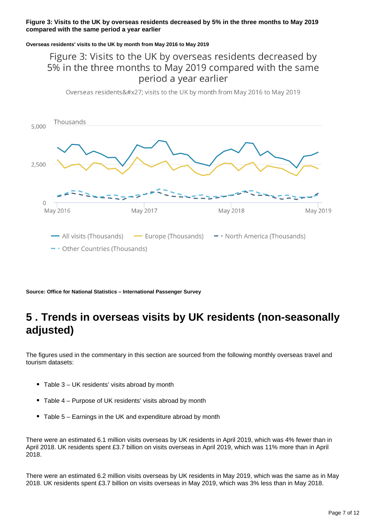### **Figure 3: Visits to the UK by overseas residents decreased by 5% in the three months to May 2019 compared with the same period a year earlier**

#### **Overseas residents' visits to the UK by month from May 2016 to May 2019**

## Figure 3: Visits to the UK by overseas residents decreased by 5% in the three months to May 2019 compared with the same period a year earlier

Overseas residents' visits to the UK by month from May 2016 to May 2019



**Source: Office for National Statistics – International Passenger Survey**

## <span id="page-6-0"></span>**5 . Trends in overseas visits by UK residents (non-seasonally adjusted)**

The figures used in the commentary in this section are sourced from the following monthly overseas travel and tourism datasets:

- Table 3 UK residents' visits abroad by month
- Table 4 Purpose of UK residents' visits abroad by month
- Table 5 Earnings in the UK and expenditure abroad by month

There were an estimated 6.1 million visits overseas by UK residents in April 2019, which was 4% fewer than in April 2018. UK residents spent £3.7 billion on visits overseas in April 2019, which was 11% more than in April 2018.

There were an estimated 6.2 million visits overseas by UK residents in May 2019, which was the same as in May 2018. UK residents spent £3.7 billion on visits overseas in May 2019, which was 3% less than in May 2018.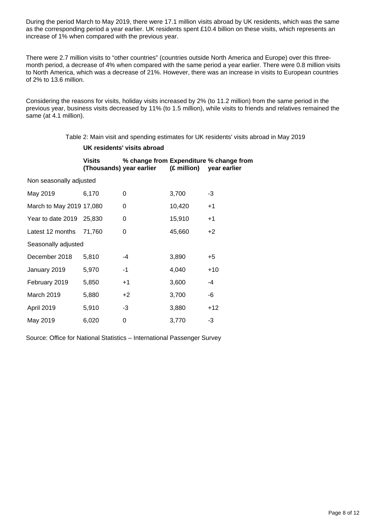During the period March to May 2019, there were 17.1 million visits abroad by UK residents, which was the same as the corresponding period a year earlier. UK residents spent £10.4 billion on these visits, which represents an increase of 1% when compared with the previous year.

There were 2.7 million visits to "other countries" (countries outside North America and Europe) over this threemonth period, a decrease of 4% when compared with the same period a year earlier. There were 0.8 million visits to North America, which was a decrease of 21%. However, there was an increase in visits to European countries of 2% to 13.6 million.

Considering the reasons for visits, holiday visits increased by 2% (to 11.2 million) from the same period in the previous year, business visits decreased by 11% (to 1.5 million), while visits to friends and relatives remained the same (at 4.1 million).

Table 2: Main visit and spending estimates for UK residents' visits abroad in May 2019

### **UK residents' visits abroad**

|                          | <b>Visits</b> | (Thousands) year earlier | (£ million) | % change from Expenditure % change from<br>year earlier |
|--------------------------|---------------|--------------------------|-------------|---------------------------------------------------------|
| Non seasonally adjusted  |               |                          |             |                                                         |
| May 2019                 | 6,170         | 0                        | 3,700       | -3                                                      |
| March to May 2019 17,080 |               | 0                        | 10,420      | $+1$                                                    |
| Year to date 2019 25,830 |               | 0                        | 15,910      | $+1$                                                    |
| Latest 12 months         | 71,760        | 0                        | 45,660      | $+2$                                                    |
| Seasonally adjusted      |               |                          |             |                                                         |
| December 2018            | 5,810         | -4                       | 3,890       | $+5$                                                    |
| January 2019             | 5,970         | -1                       | 4,040       | $+10$                                                   |
| February 2019            | 5,850         | $+1$                     | 3,600       | -4                                                      |
| March 2019               | 5,880         | $+2$                     | 3,700       | -6                                                      |
| April 2019               | 5,910         | -3                       | 3,880       | $+12$                                                   |
| May 2019                 | 6,020         | 0                        | 3,770       | -3                                                      |

Source: Office for National Statistics – International Passenger Survey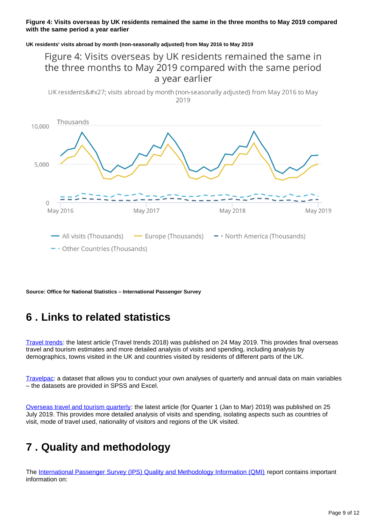### **Figure 4: Visits overseas by UK residents remained the same in the three months to May 2019 compared with the same period a year earlier**

**UK residents' visits abroad by month (non-seasonally adjusted) from May 2016 to May 2019**

## Figure 4: Visits overseas by UK residents remained the same in the three months to May 2019 compared with the same period a year earlier

UK residents' visits abroad by month (non-seasonally adjusted) from May 2016 to May 2019



**Source: Office for National Statistics – International Passenger Survey**

## <span id="page-8-0"></span>**6 . Links to related statistics**

[Travel trends:](http://www.ons.gov.uk/peoplepopulationandcommunity/leisureandtourism/articles/traveltrends/previousReleases) the latest article (Travel trends 2018) was published on 24 May 2019. This provides final overseas travel and tourism estimates and more detailed analysis of visits and spending, including analysis by demographics, towns visited in the UK and countries visited by residents of different parts of the UK.

[Travelpac](http://www.ons.gov.uk/peoplepopulationandcommunity/leisureandtourism/datasets/travelpac): a dataset that allows you to conduct your own analyses of quarterly and annual data on main variables – the datasets are provided in SPSS and Excel.

[Overseas travel and tourism quarterly](http://www.ons.gov.uk/peoplepopulationandcommunity/leisureandtourism/articles/overseastravelandtourismprovisionalresults/previousReleases): the latest article (for Quarter 1 (Jan to Mar) 2019) was published on 25 July 2019. This provides more detailed analysis of visits and spending, isolating aspects such as countries of visit, mode of travel used, nationality of visitors and regions of the UK visited.

## <span id="page-8-1"></span>**7 . Quality and methodology**

The [International Passenger Survey \(IPS\) Quality and Methodology Information \(QMI\)](https://www.ons.gov.uk/peoplepopulationandcommunity/leisureandtourism/qmis/internationalpassengersurveyipsqmi) report contains important information on: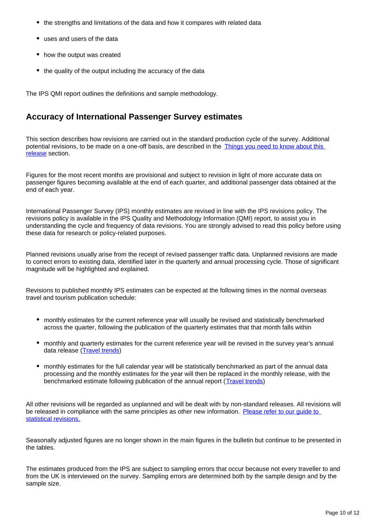- the strengths and limitations of the data and how it compares with related data
- uses and users of the data
- how the output was created
- the quality of the output including the accuracy of the data

The IPS QMI report outlines the definitions and sample methodology.

### **Accuracy of International Passenger Survey estimates**

This section describes how revisions are carried out in the standard production cycle of the survey. Additional potential revisions, to be made on a one-off basis, are described in the Things you need to know about this [release](https://www.ons.gov.uk/peoplepopulationandcommunity/leisureandtourism/bulletins/overseastravelandtourism/aprilandmay2019provisionalresults#things-you-need-to-know-about-this-release) section.

Figures for the most recent months are provisional and subject to revision in light of more accurate data on passenger figures becoming available at the end of each quarter, and additional passenger data obtained at the end of each year.

International Passenger Survey (IPS) monthly estimates are revised in line with the IPS revisions policy. The revisions policy is available in the IPS Quality and Methodology Information (QMI) report, to assist you in understanding the cycle and frequency of data revisions. You are strongly advised to read this policy before using these data for research or policy-related purposes.

Planned revisions usually arise from the receipt of revised passenger traffic data. Unplanned revisions are made to correct errors to existing data, identified later in the quarterly and annual processing cycle. Those of significant magnitude will be highlighted and explained.

Revisions to published monthly IPS estimates can be expected at the following times in the normal overseas travel and tourism publication schedule:

- monthly estimates for the current reference year will usually be revised and statistically benchmarked across the quarter, following the publication of the quarterly estimates that that month falls within
- monthly and quarterly estimates for the current reference year will be revised in the survey year's annual data release [\(Travel trends\)](https://www.ons.gov.uk/peoplepopulationandcommunity/leisureandtourism/articles/traveltrends/previousReleases)
- monthly estimates for the full calendar year will be statistically benchmarked as part of the annual data processing and the monthly estimates for the year will then be replaced in the monthly release, with the benchmarked estimate following publication of the annual report ([Travel trends](https://www.ons.gov.uk/peoplepopulationandcommunity/leisureandtourism/articles/traveltrends/previousReleases))

All other revisions will be regarded as unplanned and will be dealt with by non-standard releases. All revisions will be released in compliance with the same principles as other new information. Please refer to our guide to [statistical revisions.](https://webarchive.nationalarchives.gov.uk/20160105234503/http://www.ons.gov.uk/ons/guide-method/revisions/guide-to-statistical-revisions/index.html)

Seasonally adjusted figures are no longer shown in the main figures in the bulletin but continue to be presented in the tables.

The estimates produced from the IPS are subject to sampling errors that occur because not every traveller to and from the UK is interviewed on the survey. Sampling errors are determined both by the sample design and by the sample size.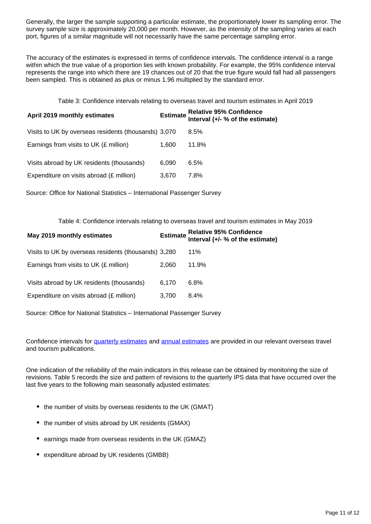Generally, the larger the sample supporting a particular estimate, the proportionately lower its sampling error. The survey sample size is approximately 20,000 per month. However, as the intensity of the sampling varies at each port, figures of a similar magnitude will not necessarily have the same percentage sampling error.

The accuracy of the estimates is expressed in terms of confidence intervals. The confidence interval is a range within which the true value of a proportion lies with known probability. For example, the 95% confidence interval represents the range into which there are 19 chances out of 20 that the true figure would fall had all passengers been sampled. This is obtained as plus or minus 1.96 multiplied by the standard error.

Table 3: Confidence intervals relating to overseas travel and tourism estimates in April 2019

| April 2019 monthly estimates                         |       | Estimate Relative 95% Confidence<br>Interval (+/- % of the estimate) |
|------------------------------------------------------|-------|----------------------------------------------------------------------|
| Visits to UK by overseas residents (thousands) 3,070 |       | 8.5%                                                                 |
| Earnings from visits to UK (£ million)               | 1.600 | 11.8%                                                                |
| Visits abroad by UK residents (thousands)            | 6.090 | 6.5%                                                                 |
| Expenditure on visits abroad (£ million)             | 3.670 | 7.8%                                                                 |

Source: Office for National Statistics – International Passenger Survey

Table 4: Confidence intervals relating to overseas travel and tourism estimates in May 2019

| May 2019 monthly estimates                           |       | Estimate Relative 95% Confidence<br>Interval (+/- % of the estimate) |
|------------------------------------------------------|-------|----------------------------------------------------------------------|
| Visits to UK by overseas residents (thousands) 3,280 |       | $11\%$                                                               |
| Earnings from visits to UK $(E \text{ million})$     | 2.060 | 11.9%                                                                |
| Visits abroad by UK residents (thousands)            | 6.170 | $6.8\%$                                                              |
| Expenditure on visits abroad (£ million)             | 3.700 | $8.4\%$                                                              |

Source: Office for National Statistics – International Passenger Survey

Confidence intervals for [quarterly estimates](http://www.ons.gov.uk/peoplepopulationandcommunity/leisureandtourism/articles/overseastravelandtourismprovisionalresults/previousReleases) and [annual estimates](http://www.ons.gov.uk/peoplepopulationandcommunity/leisureandtourism/articles/traveltrends/previousReleases) are provided in our relevant overseas travel and tourism publications.

One indication of the reliability of the main indicators in this release can be obtained by monitoring the size of revisions. Table 5 records the size and pattern of revisions to the quarterly IPS data that have occurred over the last five years to the following main seasonally adjusted estimates:

- the number of visits by overseas residents to the UK (GMAT)
- the number of visits abroad by UK residents (GMAX)
- earnings made from overseas residents in the UK (GMAZ)
- expenditure abroad by UK residents (GMBB)